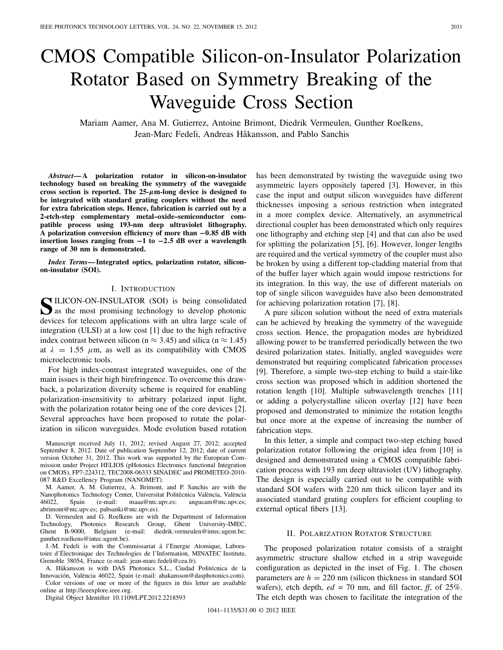# CMOS Compatible Silicon-on-Insulator Polarization Rotator Based on Symmetry Breaking of the Waveguide Cross Section

Mariam Aamer, Ana M. Gutierrez, Antoine Brimont, Diedrik Vermeulen, Gunther Roelkens, Jean-Marc Fedeli, Andreas Håkansson, and Pablo Sanchis

*Abstract***— A polarization rotator in silicon-on-insulator technology based on breaking the symmetry of the waveguide** cross section is reported. The  $25-\mu$ m-long device is designed to **be integrated with standard grating couplers without the need for extra fabrication steps. Hence, fabrication is carried out by a 2-etch-step complementary metal–oxide–semiconductor compatible process using 193-nm deep ultraviolet lithography. A polarization conversion efficiency of more than −0***.***85 dB with insertion losses ranging from −1 to −2***.***5 dB over a wavelength range of 30 nm is demonstrated.**

*Index Terms***— Integrated optics, polarization rotator, siliconon-insulator (SOI).**

# I. INTRODUCTION

**S**ILICON-ON-INSULATOR (SOI) is being consolidated as the most promising technology to develop photonic devices for telecom applications with an ultra large scale of integration (ULSI) at a low cost [1] due to the high refractive index contrast between silicon (n  $\approx$  3.45) and silica (n  $\approx$  1.45) at  $\lambda = 1.55$   $\mu$ m, as well as its compatibility with CMOS microelectronic tools.

For high index-contrast integrated waveguides, one of the main issues is their high birefringence. To overcome this drawback, a polarization diversity scheme is required for enabling polarization-insensitivity to arbitrary polarized input light, with the polarization rotator being one of the core devices [2]. Several approaches have been proposed to rotate the polarization in silicon waveguides. Mode evolution based rotation

Manuscript received July 11, 2012; revised August 27, 2012; accepted September 8, 2012. Date of publication September 12, 2012; date of current version October 31, 2012. This work was supported by the European Commission under Project HELIOS (pHotonics Electronics functional Integration on CMOS), FP7-224312, TEC2008-06333 SINADEC and PROMETEO-2010- 087 R&D Excellency Program (NANOMET).

M. Aamer, A. M. Gutierrez, A. Brimont, and P. Sanchis are with the Nanophotonics Technology Center, Universitat Politècnica València, València 46022, Spain (e-mail: maaa@ntc.upv.es; angucam@ntc.upv.es; abrimont@ntc.upv.es; pabsanki@ntc.upv.es).

D. Vermeulen and G. Roelkens are with the Department of Information Technology, Photonics Research Group, Ghent University-IMEC, Ghent B-9000, Belgium (e-mail: diedrik.vermeulen@intec.ugent.be; gunther.roelkens@intec.ugent.be).

J.-M. Fedeli is with the Commissariat á l'Energie Atomique, Laboratoire d'Électronique des Technologies de l'Information, MINATEC Institute, Grenoble 38054, France (e-mail: jean-marc.fedeli@cea.fr).

A. Håkansson is with DAS Photonics S.L., Ciudad Politécnica de la Innovación, València 46022, Spain (e-mail: ahakansson@dasphotonics.com). Color versions of one or more of the figures in this letter are available

online at http://ieeexplore.ieee.org. Digital Object Identifier 10.1109/LPT.2012.2218593 has been demonstrated by twisting the waveguide using two asymmetric layers oppositely tapered [3]. However, in this case the input and output silicon waveguides have different thicknesses imposing a serious restriction when integrated in a more complex device. Alternatively, an asymmetrical directional coupler has been demonstrated which only requires one lithography and etching step [4] and that can also be used for splitting the polarization [5], [6]. However, longer lengths are required and the vertical symmetry of the coupler must also be broken by using a different top-cladding material from that of the buffer layer which again would impose restrictions for its integration. In this way, the use of different materials on top of single silicon waveguides have also been demonstrated for achieving polarization rotation [7], [8].

A pure silicon solution without the need of extra materials can be achieved by breaking the symmetry of the waveguide cross section. Hence, the propagation modes are hybridized allowing power to be transferred periodically between the two desired polarization states. Initially, angled waveguides were demonstrated but requiring complicated fabrication processes [9]. Therefore, a simple two-step etching to build a stair-like cross section was proposed which in addition shortened the rotation length [10]. Multiple subwavelength trenches [11] or adding a polycrystalline silicon overlay [12] have been proposed and demonstrated to minimize the rotation lengths but once more at the expense of increasing the number of fabrication steps.

In this letter, a simple and compact two-step etching based polarization rotator following the original idea from [10] is designed and demonstrated using a CMOS compatible fabrication process with 193 nm deep ultraviolet (UV) lithography. The design is especially carried out to be compatible with standard SOI wafers with 220 nm thick silicon layer and its associated standard grating couplers for efficient coupling to external optical fibers [13].

# II. POLARIZATION ROTATOR STRUCTURE

The proposed polarization rotator consists of a straight asymmetric structure shallow etched in a strip waveguide configuration as depicted in the inset of Fig. 1. The chosen parameters are  $h = 220$  nm (silicon thickness in standard SOI wafers), etch depth,  $ed = 70$  nm, and fill factor,  $ff$ , of  $25\%$ . The etch depth was chosen to facilitate the integration of the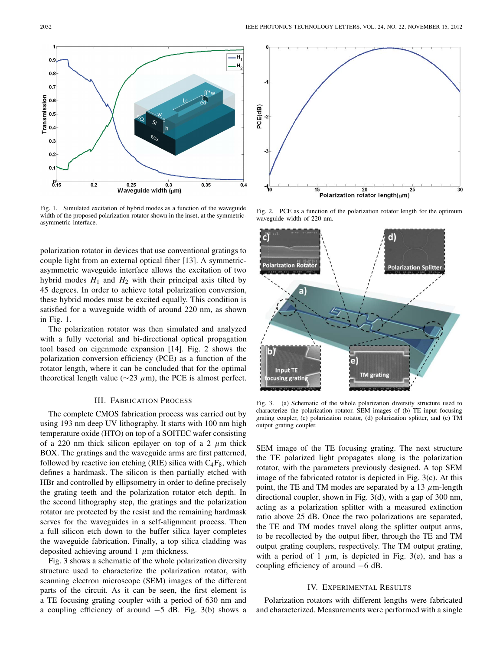

Fig. 1. Simulated excitation of hybrid modes as a function of the waveguide width of the proposed polarization rotator shown in the inset, at the symmetricasymmetric interface.

polarization rotator in devices that use conventional gratings to couple light from an external optical fiber [13]. A symmetricasymmetric waveguide interface allows the excitation of two hybrid modes  $H_1$  and  $H_2$  with their principal axis tilted by 45 degrees. In order to achieve total polarization conversion, these hybrid modes must be excited equally. This condition is satisfied for a waveguide width of around 220 nm, as shown in Fig. 1.

The polarization rotator was then simulated and analyzed with a fully vectorial and bi-directional optical propagation tool based on eigenmode expansion [14]. Fig. 2 shows the polarization conversion efficiency (PCE) as a function of the rotator length, where it can be concluded that for the optimal theoretical length value ( $\sim$ 23  $\mu$ m), the PCE is almost perfect.

### III. FABRICATION PROCESS

The complete CMOS fabrication process was carried out by using 193 nm deep UV lithography. It starts with 100 nm high temperature oxide (HTO) on top of a SOITEC wafer consisting of a 220 nm thick silicon epilayer on top of a 2  $\mu$ m thick BOX. The gratings and the waveguide arms are first patterned, followed by reactive ion etching (RIE) silica with  $C_4F_8$ , which defines a hardmask. The silicon is then partially etched with HBr and controlled by ellipsometry in order to define precisely the grating teeth and the polarization rotator etch depth. In the second lithography step, the gratings and the polarization rotator are protected by the resist and the remaining hardmask serves for the waveguides in a self-alignment process. Then a full silicon etch down to the buffer silica layer completes the waveguide fabrication. Finally, a top silica cladding was deposited achieving around 1  $\mu$ m thickness.

Fig. 3 shows a schematic of the whole polarization diversity structure used to characterize the polarization rotator, with scanning electron microscope (SEM) images of the different parts of the circuit. As it can be seen, the first element is a TE focusing grating coupler with a period of 630 nm and a coupling efficiency of around  $-5$  dB. Fig. 3(b) shows a



Fig. 2. PCE as a function of the polarization rotator length for the optimum waveguide width of 220 nm.



Fig. 3. (a) Schematic of the whole polarization diversity structure used to characterize the polarization rotator. SEM images of (b) TE input focusing grating coupler, (c) polarization rotator, (d) polarization splitter, and (e) TM output grating coupler.

SEM image of the TE focusing grating. The next structure the TE polarized light propagates along is the polarization rotator, with the parameters previously designed. A top SEM image of the fabricated rotator is depicted in Fig. 3(c). At this point, the TE and TM modes are separated by a 13  $\mu$ m-length directional coupler, shown in Fig. 3(d), with a gap of 300 nm, acting as a polarization splitter with a measured extinction ratio above 25 dB. Once the two polarizations are separated, the TE and TM modes travel along the splitter output arms, to be recollected by the output fiber, through the TE and TM output grating couplers, respectively. The TM output grating, with a period of 1  $\mu$ m, is depicted in Fig. 3(e), and has a coupling efficiency of around −6 dB.

## IV. EXPERIMENTAL RESULTS

Polarization rotators with different lengths were fabricated and characterized. Measurements were performed with a single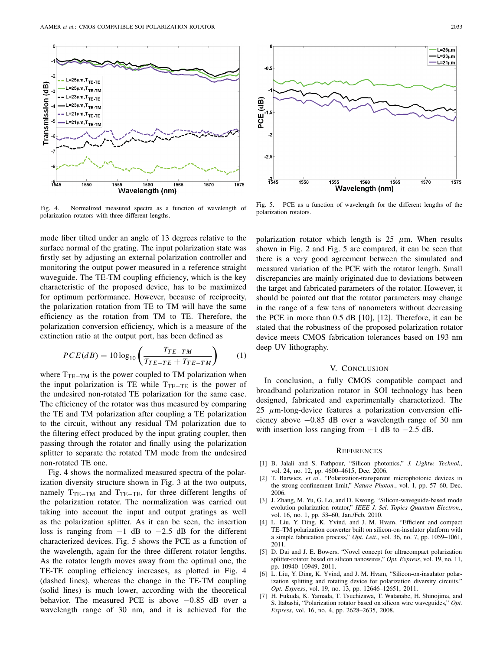

Fig. 4. Normalized measured spectra as a function of wavelength of polarization rotators with three different lengths.

mode fiber tilted under an angle of 13 degrees relative to the surface normal of the grating. The input polarization state was firstly set by adjusting an external polarization controller and monitoring the output power measured in a reference straight waveguide. The TE-TM coupling efficiency, which is the key characteristic of the proposed device, has to be maximized for optimum performance. However, because of reciprocity, the polarization rotation from TE to TM will have the same efficiency as the rotation from TM to TE. Therefore, the polarization conversion efficiency, which is a measure of the extinction ratio at the output port, has been defined as

$$
PCE(dB) = 10 \log_{10} \left( \frac{T_{TE-TM}}{T_{TE-TE} + T_{TE-TM}} \right) \tag{1}
$$

where  $T_{TE-TM}$  is the power coupled to TM polarization when the input polarization is TE while  $T_{TE-TE}$  is the power of the undesired non-rotated TE polarization for the same case. The efficiency of the rotator was thus measured by comparing the TE and TM polarization after coupling a TE polarization to the circuit, without any residual TM polarization due to the filtering effect produced by the input grating coupler, then passing through the rotator and finally using the polarization splitter to separate the rotated TM mode from the undesired non-rotated TE one.

Fig. 4 shows the normalized measured spectra of the polarization diversity structure shown in Fig. 3 at the two outputs, namely  $T_{TE-TM}$  and  $T_{TE-TE}$ , for three different lengths of the polarization rotator. The normalization was carried out taking into account the input and output gratings as well as the polarization splitter. As it can be seen, the insertion loss is ranging from  $-1$  dB to  $-2.5$  dB for the different characterized devices. Fig. 5 shows the PCE as a function of the wavelength, again for the three different rotator lengths. As the rotator length moves away from the optimal one, the TE-TE coupling efficiency increases, as plotted in Fig. 4 (dashed lines), whereas the change in the TE-TM coupling (solid lines) is much lower, according with the theoretical behavior. The measured PCE is above −0.85 dB over a wavelength range of 30 nm, and it is achieved for the



Fig. 5. PCE as a function of wavelength for the different lengths of the polarization rotators.

polarization rotator which length is 25  $\mu$ m. When results shown in Fig. 2 and Fig. 5 are compared, it can be seen that there is a very good agreement between the simulated and measured variation of the PCE with the rotator length. Small discrepancies are mainly originated due to deviations between the target and fabricated parameters of the rotator. However, it should be pointed out that the rotator parameters may change in the range of a few tens of nanometers without decreasing the PCE in more than 0.5 dB [10], [12]. Therefore, it can be stated that the robustness of the proposed polarization rotator device meets CMOS fabrication tolerances based on 193 nm deep UV lithography.

#### V. CONCLUSION

In conclusion, a fully CMOS compatible compact and broadband polarization rotator in SOI technology has been designed, fabricated and experimentally characterized. The  $25 \mu$ m-long-device features a polarization conversion efficiency above −0.85 dB over a wavelength range of 30 nm with insertion loss ranging from  $-1$  dB to  $-2.5$  dB.

#### **REFERENCES**

- [1] B. Jalali and S. Fathpour, "Silicon photonics," *J. Lightw. Technol.*, vol. 24, no. 12, pp. 4600–4615, Dec. 2006.
- [2] T. Barwicz, *et al.*, "Polarization-transparent microphotonic devices in the strong confinement limit," *Nature Photon.*, vol. 1, pp. 57–60, Dec. 2006.
- [3] J. Zhang, M. Yu, G. Lo, and D. Kwong, "Silicon-waveguide-based mode evolution polarization rotator," *IEEE J. Sel. Topics Quantum Electron.*, vol. 16, no. 1, pp. 53–60, Jan./Feb. 2010.
- [4] L. Liu, Y. Ding, K. Yvind, and J. M. Hvam, "Efficient and compact TE–TM polarization converter built on silicon-on-insulator platform with a simple fabrication process," *Opt. Lett.*, vol. 36, no. 7, pp. 1059–1061, 2011.
- [5] D. Dai and J. E. Bowers, "Novel concept for ultracompact polarization splitter-rotator based on silicon nanowires," *Opt. Express*, vol. 19, no. 11, pp. 10940–10949, 2011.
- [6] L. Liu, Y. Ding, K. Yvind, and J. M. Hvam, "Silicon-on-insulator polarization splitting and rotating device for polarization diversity circuits," *Opt. Express*, vol. 19, no. 13, pp. 12646–12651, 2011.
- [7] H. Fukuda, K. Yamada, T. Tsuchizawa, T. Watanabe, H. Shinojima, and S. Itabashi, "Polarization rotator based on silicon wire waveguides," *Opt. Express*, vol. 16, no. 4, pp. 2628–2635, 2008.